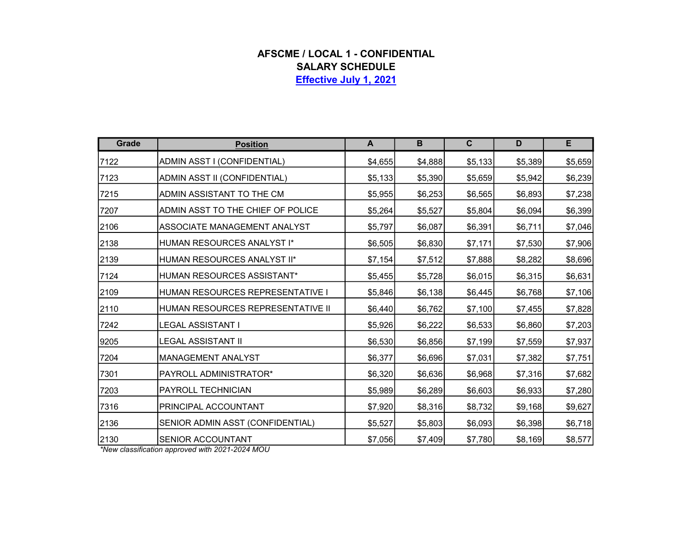## AFSCME / LOCAL 1 - CONFIDENTIAL SALARY SCHEDULE Effective July 1, 2021

| Grade | <b>Position</b>                   | A       | $\mathbf B$ | $\mathbf c$ | D       | E        |
|-------|-----------------------------------|---------|-------------|-------------|---------|----------|
| 7122  | ADMIN ASST I (CONFIDENTIAL)       | \$4,655 | \$4,888     | \$5,133     | \$5,389 | \$5,659  |
| 7123  | ADMIN ASST II (CONFIDENTIAL)      | \$5,133 | \$5,390     | \$5,659     | \$5,942 | \$6,239  |
| 7215  | ADMIN ASSISTANT TO THE CM         | \$5,955 | \$6,253     | \$6,565     | \$6,893 | \$7,238  |
| 7207  | ADMIN ASST TO THE CHIEF OF POLICE | \$5,264 | \$5,527     | \$5,804     | \$6,094 | \$6,399  |
| 2106  | ASSOCIATE MANAGEMENT ANALYST      | \$5,797 | \$6,087     | \$6,391     | \$6,711 | \$7,046  |
| 2138  | HUMAN RESOURCES ANALYST I*        | \$6,505 | \$6,830     | \$7,171     | \$7,530 | \$7,906  |
| 2139  | HUMAN RESOURCES ANALYST II*       | \$7,154 | \$7,512     | \$7,888     | \$8,282 | \$8,696  |
| 7124  | HUMAN RESOURCES ASSISTANT*        | \$5,455 | \$5,728     | \$6,015     | \$6,315 | \$6,631  |
| 2109  | HUMAN RESOURCES REPRESENTATIVE I  | \$5,846 | \$6,138     | \$6,445     | \$6,768 | \$7,106  |
| 2110  | HUMAN RESOURCES REPRESENTATIVE II | \$6,440 | \$6,762     | \$7,100     | \$7,455 | \$7,828  |
| 7242  | <b>LEGAL ASSISTANT I</b>          | \$5,926 | \$6,222     | \$6,533     | \$6,860 | \$7,203  |
| 9205  | <b>LEGAL ASSISTANT II</b>         | \$6,530 | \$6,856     | \$7,199     | \$7,559 | \$7,937  |
| 7204  | MANAGEMENT ANALYST                | \$6,377 | \$6,696     | \$7,031     | \$7,382 | \$7,751  |
| 7301  | PAYROLL ADMINISTRATOR*            | \$6,320 | \$6,636     | \$6,968     | \$7,316 | \$7,682  |
| 7203  | PAYROLL TECHNICIAN                | \$5,989 | \$6,289     | \$6,603     | \$6,933 | \$7,280  |
| 7316  | PRINCIPAL ACCOUNTANT              | \$7,920 | \$8,316     | \$8,732     | \$9,168 | \$9,627  |
| 2136  | SENIOR ADMIN ASST (CONFIDENTIAL)  | \$5,527 | \$5,803     | \$6,093     | \$6,398 | \$6,718] |
| 2130  | SENIOR ACCOUNTANT                 | \$7,056 | \$7,409     | \$7,780     | \$8,169 | \$8,577  |

\*New classification approved with 2021-2024 MOU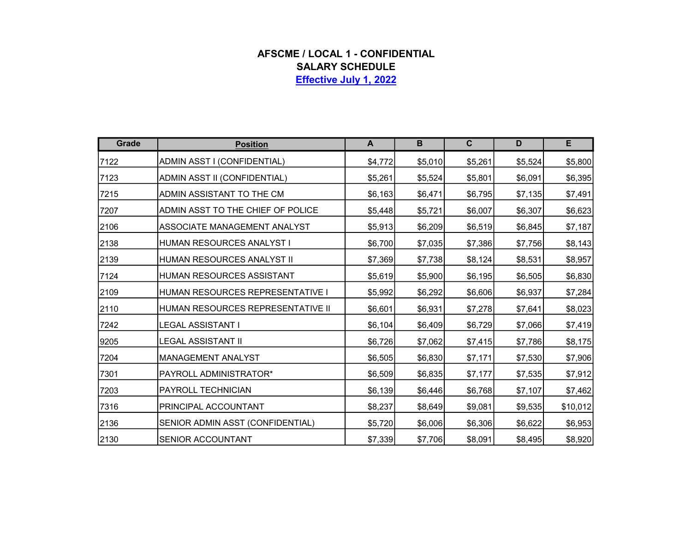## AFSCME / LOCAL 1 - CONFIDENTIAL SALARY SCHEDULE Effective July 1, 2022

| Grade | <b>Position</b>                   | A       | B       | $\mathbf{C}$ | D       | E        |
|-------|-----------------------------------|---------|---------|--------------|---------|----------|
| 7122  | ADMIN ASST I (CONFIDENTIAL)       | \$4,772 | \$5,010 | \$5,261      | \$5,524 | \$5,800  |
| 7123  | ADMIN ASST II (CONFIDENTIAL)      | \$5,261 | \$5,524 | \$5,801      | \$6,091 | \$6,395  |
| 7215  | ADMIN ASSISTANT TO THE CM         | \$6,163 | \$6,471 | \$6,795      | \$7,135 | \$7,491  |
| 7207  | ADMIN ASST TO THE CHIEF OF POLICE | \$5,448 | \$5,721 | \$6,007      | \$6,307 | \$6,623  |
| 2106  | ASSOCIATE MANAGEMENT ANALYST      | \$5,913 | \$6,209 | \$6,519      | \$6,845 | \$7,187  |
| 2138  | HUMAN RESOURCES ANALYST I         | \$6,700 | \$7,035 | \$7,386      | \$7,756 | \$8,143  |
| 2139  | HUMAN RESOURCES ANALYST II        | \$7,369 | \$7,738 | \$8,124      | \$8,531 | \$8,957  |
| 7124  | HUMAN RESOURCES ASSISTANT         | \$5,619 | \$5,900 | \$6,195      | \$6,505 | \$6,830  |
| 2109  | HUMAN RESOURCES REPRESENTATIVE I  | \$5,992 | \$6,292 | \$6,606      | \$6,937 | \$7,284  |
| 2110  | HUMAN RESOURCES REPRESENTATIVE II | \$6,601 | \$6,931 | \$7,278      | \$7,641 | \$8,023  |
| 7242  | LEGAL ASSISTANT I                 | \$6,104 | \$6,409 | \$6,729      | \$7,066 | \$7,419  |
| 9205  | LEGAL ASSISTANT II                | \$6,726 | \$7,062 | \$7,415      | \$7,786 | \$8,175  |
| 7204  | MANAGEMENT ANALYST                | \$6,505 | \$6,830 | \$7,171      | \$7,530 | \$7,906  |
| 7301  | PAYROLL ADMINISTRATOR*            | \$6,509 | \$6,835 | \$7,177      | \$7,535 | \$7,912  |
| 7203  | PAYROLL TECHNICIAN                | \$6,139 | \$6,446 | \$6,768      | \$7,107 | \$7,462  |
| 7316  | PRINCIPAL ACCOUNTANT              | \$8,237 | \$8,649 | \$9,081      | \$9,535 | \$10,012 |
| 2136  | SENIOR ADMIN ASST (CONFIDENTIAL)  | \$5,720 | \$6,006 | \$6,306      | \$6,622 | \$6,953  |
| 2130  | SENIOR ACCOUNTANT                 | \$7,339 | \$7,706 | \$8,091      | \$8,495 | \$8,920  |